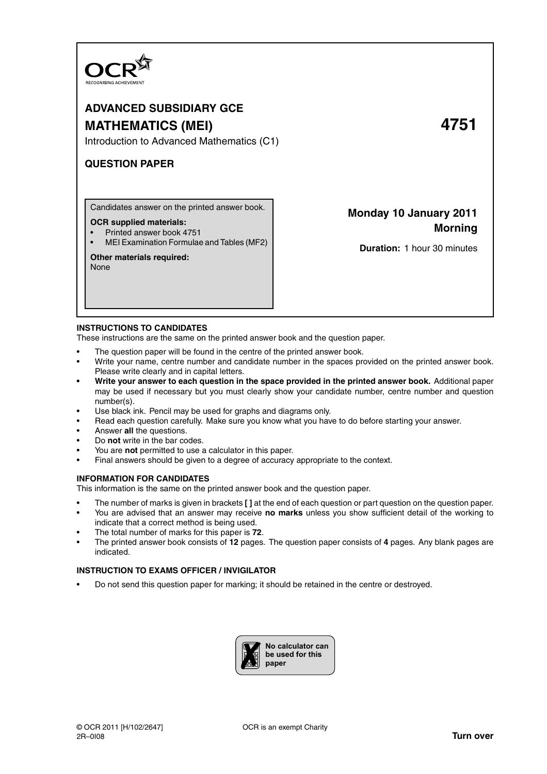

# **ADVANCED SUBSIDIARY GCE MATHEMATICS (MEI) 4751**

Introduction to Advanced Mathematics (C1)

# **QUESTION PAPER**

Candidates answer on the printed answer book.

## **OCR supplied materials:**

- Printed answer book 4751
- MEI Examination Formulae and Tables (MF2)

# **Other materials required:**

None

# **Monday 10 January 2011 Morning**

**Duration:** 1 hour 30 minutes

# **INSTRUCTIONS TO CANDIDATES**

These instructions are the same on the printed answer book and the question paper.

- The question paper will be found in the centre of the printed answer book.
- Write your name, centre number and candidate number in the spaces provided on the printed answer book. Please write clearly and in capital letters.
- **Write your answer to each question in the space provided in the printed answer book.** Additional paper may be used if necessary but you must clearly show your candidate number, centre number and question number(s).
- Use black ink. Pencil may be used for graphs and diagrams only.
- Read each question carefully. Make sure you know what you have to do before starting your answer.
- Answer **all** the questions.
- Do **not** write in the bar codes.
- You are **not** permitted to use a calculator in this paper.
- Final answers should be given to a degree of accuracy appropriate to the context.

# **INFORMATION FOR CANDIDATES**

This information is the same on the printed answer book and the question paper.

- The number of marks is given in brackets **[ ]** at the end of each question or part question on the question paper.
- You are advised that an answer may receive **no marks** unless you show sufficient detail of the working to indicate that a correct method is being used.
- The total number of marks for this paper is **72**.
- The printed answer book consists of **12** pages. The question paper consists of **4** pages. Any blank pages are indicated.

# **INSTRUCTION TO EXAMS OFFICER / INVIGILATOR**

• Do not send this question paper for marking; it should be retained in the centre or destroyed.

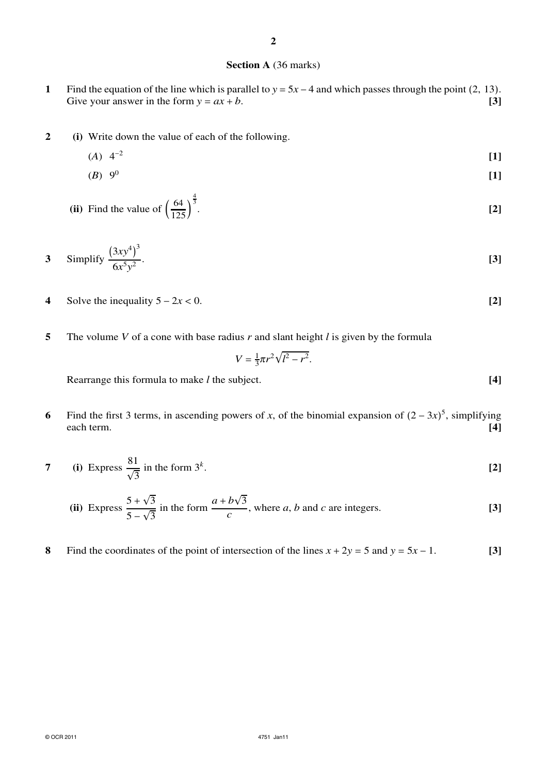## **Section A** (36 marks)

- **1** Find the equation of the line which is parallel to  $y = 5x 4$  and which passes through the point (2, 13). Give your answer in the form  $y = ax + b$ . **[3]**
- **2 (i)** Write down the value of each of the following.
	- $(A)$  4<sup>-2</sup> **[1]**
	- $(B) 9<sup>0</sup>$ **[1]**
	- (ii) Find the value of  $\left(\frac{64}{125}\right)$  $\frac{1}{125}$  $\frac{4}{3}$ . **[2]**

3 Simplify 
$$
\frac{(3xy^4)^3}{6x^5y^2}
$$
. [3]

- **4** Solve the inequality  $5 2x < 0$ . [2]
- **5** The volume *V* of a cone with base radius *r* and slant height *l* is given by the formula

$$
V = \frac{1}{3}\pi r^2 \sqrt{l^2 - r^2}.
$$

Rearrange this formula to make *l* the subject. **[4]**

- **6** Find the first 3 terms, in ascending powers of *x*, of the binomial expansion of  $(2 3x)^5$ , simplifying each term. **[4]**
- **7** (i) Express  $\frac{81}{6}$  $\sqrt{3}$ in the form 3*<sup>k</sup>* . **[2]**

(ii) Express 
$$
\frac{5+\sqrt{3}}{5-\sqrt{3}}
$$
 in the form  $\frac{a+b\sqrt{3}}{c}$ , where *a*, *b* and *c* are integers. [3]

8 Find the coordinates of the point of intersection of the lines  $x + 2y = 5$  and  $y = 5x - 1$ . **[3]**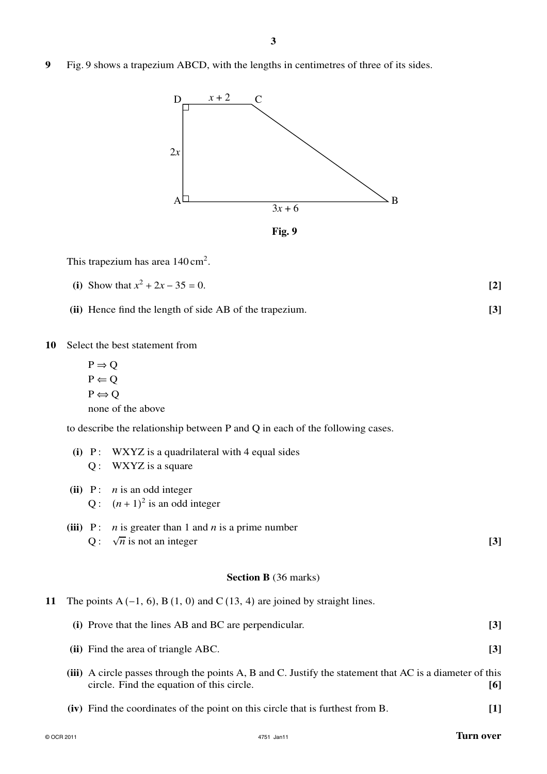**9** Fig. 9 shows a trapezium ABCD, with the lengths in centimetres of three of its sides.



This trapezium has area  $140 \text{ cm}^2$ .

| (i) Show that $x^2 + 2x - 35 = 0$ . |  |  |
|-------------------------------------|--|--|
|-------------------------------------|--|--|

**(ii)** Hence find the length of side AB of the trapezium. **[3]**

**(i)** P: WXYZ is a quadrilateral with 4 equal sides

**10** Select the best statement from

 $P \Rightarrow Q$  $P \Leftarrow Q$  $P \Leftrightarrow Q$ none of the above

to describe the relationship between P and Q in each of the following cases.

|    | $Q:$ WXYZ is a square                                                                                                                                 |       |
|----|-------------------------------------------------------------------------------------------------------------------------------------------------------|-------|
|    | (ii) $P: n$ is an odd integer<br>Q: $(n+1)^2$ is an odd integer                                                                                       |       |
|    | <i>n</i> is greater than 1 and <i>n</i> is a prime number<br>$(iii)$ $P:$<br>$\sqrt{n}$ is not an integer<br>Q:                                       | $[3]$ |
|    | <b>Section B</b> (36 marks)                                                                                                                           |       |
| 11 | The points $A(-1, 6)$ , $B(1, 0)$ and $C(13, 4)$ are joined by straight lines.                                                                        |       |
|    | (i) Prove that the lines AB and BC are perpendicular.                                                                                                 | $[3]$ |
|    | (ii) Find the area of triangle ABC.                                                                                                                   | $[3]$ |
|    | (iii) A circle passes through the points A, B and C. Justify the statement that AC is a diameter of this<br>circle. Find the equation of this circle. | [6]   |
|    | (iv) Find the coordinates of the point on this circle that is furthest from B.                                                                        | $[1]$ |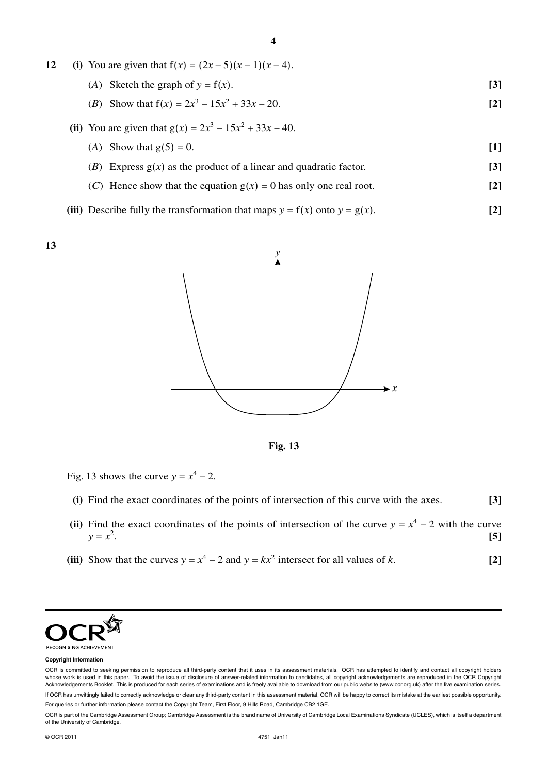| 12 | (i) You are given that $f(x) = (2x - 5)(x - 1)(x - 4)$ .            |                   |
|----|---------------------------------------------------------------------|-------------------|
|    | (A) Sketch the graph of $y = f(x)$ .                                | [3]               |
|    | ( <i>B</i> ) Show that $f(x) = 2x^3 - 15x^2 + 33x - 20$ .           | $\lceil 2 \rceil$ |
|    | (ii) You are given that $g(x) = 2x^3 - 15x^2 + 33x - 40$ .          |                   |
|    | (A) Show that $g(5) = 0$ .                                          | $[1]$             |
|    | (B) Express $g(x)$ as the product of a linear and quadratic factor. | [3]               |
|    |                                                                     |                   |

(*C*) Hence show that the equation  $g(x) = 0$  has only one real root. **[2]** 

(iii) Describe fully the transformation that maps 
$$
y = f(x)
$$
 onto  $y = g(x)$ . [2]







- Fig. 13 shows the curve  $y = x^4 2$ .
	- **(i)** Find the exact coordinates of the points of intersection of this curve with the axes. **[3]**
- (ii) Find the exact coordinates of the points of intersection of the curve  $y = x^4 2$  with the curve  $y = x^2$ . **[5]**
- (iii) Show that the curves  $y = x^4 2$  and  $y = kx^2$  intersect for all values of *k*. [2]



#### **Copyright Information**

OCR is committed to seeking permission to reproduce all third-party content that it uses in its assessment materials. OCR has attempted to identify and contact all copyright holders whose work is used in this paper. To avoid the issue of disclosure of answer-related information to candidates, all copyright acknowledgements are reproduced in the OCR Copyright Acknowledgements Booklet. This is produced for each series of examinations and is freely available to download from our public website (www.ocr.org.uk) after the live examination series.

If OCR has unwittingly failed to correctly acknowledge or clear any third-party content in this assessment material, OCR will be happy to correct its mistake at the earliest possible opportunity. For queries or further information please contact the Copyright Team, First Floor, 9 Hills Road, Cambridge CB2 1GE.

OCR is part of the Cambridge Assessment Group; Cambridge Assessment is the brand name of University of Cambridge Local Examinations Syndicate (UCLES), which is itself a department of the University of Cambridge.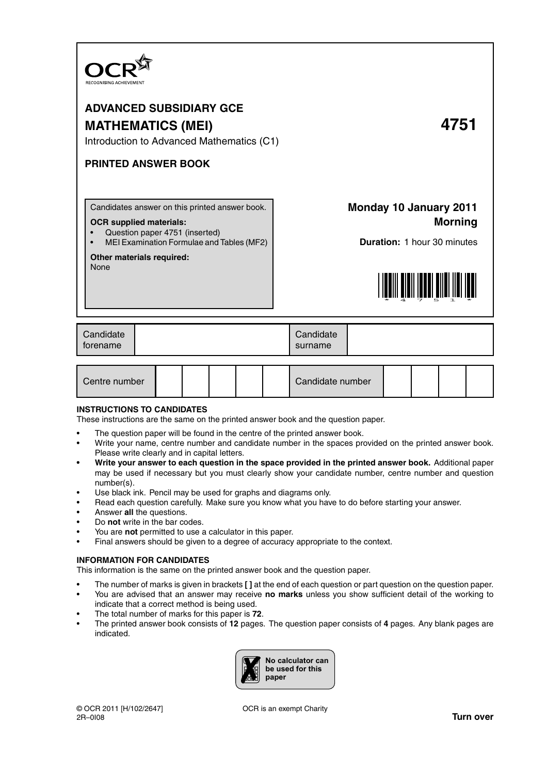

# **ADVANCED SUBSIDIARY GCE MATHEMATICS (MEI) 4751**

Introduction to Advanced Mathematics (C1)

# **PRINTED ANSWER BOOK**

Candidates answer on this printed answer book.

# **OCR supplied materials:**

- Question paper 4751 (inserted)
- MEI Examination Formulae and Tables (MF2)

## **Other materials required:**

None

**Monday 10 January 2011 Morning**

**Duration:** 1 hour 30 minutes



| Candidate<br>torename | Candidate<br>surname |  |
|-----------------------|----------------------|--|
|                       |                      |  |

| Centre number |  |  |  |  |  | Candidate number |  |  |  |  |
|---------------|--|--|--|--|--|------------------|--|--|--|--|
|---------------|--|--|--|--|--|------------------|--|--|--|--|

# **INSTRUCTIONS TO CANDIDATES**

These instructions are the same on the printed answer book and the question paper.

- The question paper will be found in the centre of the printed answer book.
- Write your name, centre number and candidate number in the spaces provided on the printed answer book. Please write clearly and in capital letters.
- **Write your answer to each question in the space provided in the printed answer book.** Additional paper may be used if necessary but you must clearly show your candidate number, centre number and question number(s).
- Use black ink. Pencil may be used for graphs and diagrams only.
- Read each question carefully. Make sure you know what you have to do before starting your answer.
- Answer **all** the questions.
- Do **not** write in the bar codes.
- You are **not** permitted to use a calculator in this paper.
- Final answers should be given to a degree of accuracy appropriate to the context.

## **INFORMATION FOR CANDIDATES**

This information is the same on the printed answer book and the question paper.

- The number of marks is given in brackets **[ ]** at the end of each question or part question on the question paper.
- You are advised that an answer may receive **no marks** unless you show sufficient detail of the working to indicate that a correct method is being used.
- The total number of marks for this paper is **72**.
- The printed answer book consists of **12** pages. The question paper consists of **4** pages. Any blank pages are indicated.

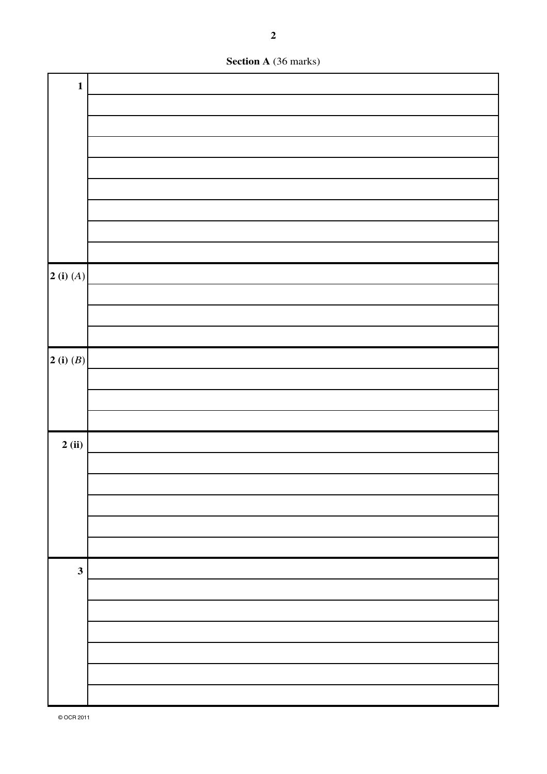

| $\mathbf{1}$                            |  |
|-----------------------------------------|--|
|                                         |  |
|                                         |  |
|                                         |  |
|                                         |  |
|                                         |  |
|                                         |  |
|                                         |  |
|                                         |  |
|                                         |  |
| $\left 2\right\rangle$ (i) $(A)\right $ |  |
|                                         |  |
|                                         |  |
|                                         |  |
| $2$ (i) $(B)$                           |  |
|                                         |  |
|                                         |  |
|                                         |  |
| 2(i)                                    |  |
|                                         |  |
|                                         |  |
|                                         |  |
|                                         |  |
|                                         |  |
| $\mathbf{3}$                            |  |
|                                         |  |
|                                         |  |
|                                         |  |
|                                         |  |
|                                         |  |
|                                         |  |
|                                         |  |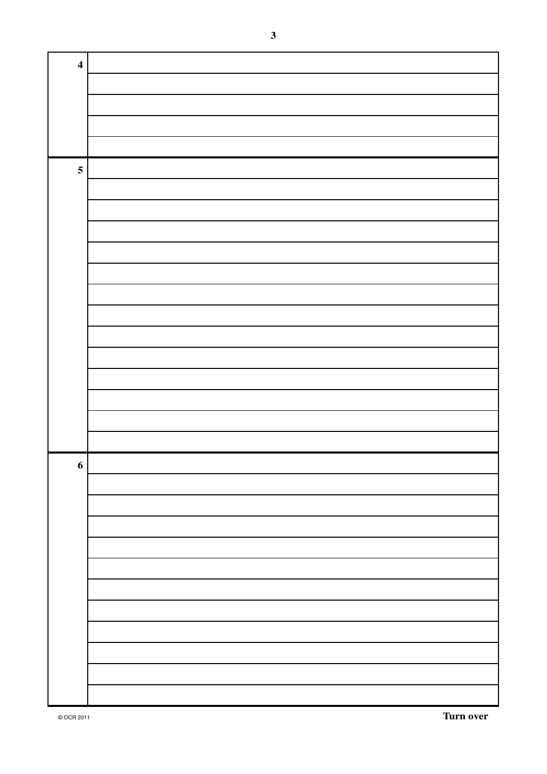| $\overline{\mathbf{4}}$ |  |
|-------------------------|--|
|                         |  |
|                         |  |
|                         |  |
|                         |  |
| $\overline{\mathbf{5}}$ |  |
|                         |  |
|                         |  |
|                         |  |
|                         |  |
|                         |  |
|                         |  |
|                         |  |
|                         |  |
|                         |  |
|                         |  |
|                         |  |
|                         |  |
|                         |  |
| 6                       |  |
|                         |  |
|                         |  |
|                         |  |
|                         |  |
|                         |  |
|                         |  |
|                         |  |
|                         |  |
|                         |  |
|                         |  |
|                         |  |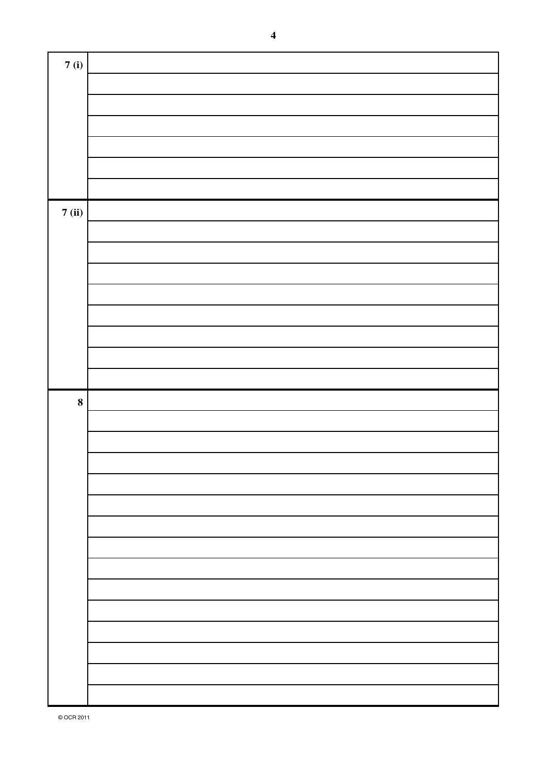| 7(i)     |  |
|----------|--|
|          |  |
|          |  |
|          |  |
|          |  |
|          |  |
|          |  |
|          |  |
| 7(ii)    |  |
|          |  |
|          |  |
|          |  |
|          |  |
|          |  |
|          |  |
|          |  |
|          |  |
| $\bf{8}$ |  |
|          |  |
|          |  |
|          |  |
|          |  |
|          |  |
|          |  |
|          |  |
|          |  |
|          |  |
|          |  |
|          |  |
|          |  |
|          |  |
|          |  |
|          |  |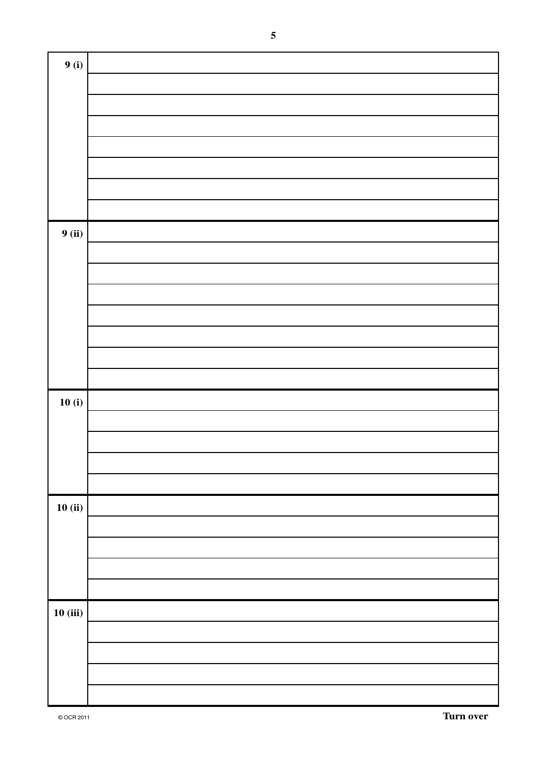| 9(i)    |  |
|---------|--|
|         |  |
|         |  |
|         |  |
|         |  |
|         |  |
|         |  |
|         |  |
| 9(ii)   |  |
|         |  |
|         |  |
|         |  |
|         |  |
|         |  |
|         |  |
|         |  |
| 10(i)   |  |
|         |  |
|         |  |
|         |  |
| 10(ii)  |  |
|         |  |
|         |  |
|         |  |
|         |  |
| 10(iii) |  |
|         |  |
|         |  |
|         |  |
|         |  |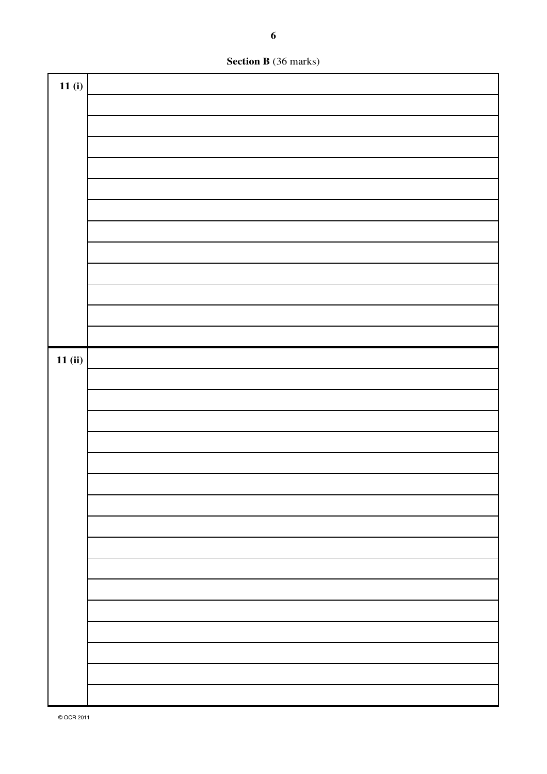**Section B** (36 marks)

| 11(i)  |  |
|--------|--|
|        |  |
|        |  |
|        |  |
|        |  |
|        |  |
|        |  |
|        |  |
|        |  |
|        |  |
|        |  |
|        |  |
|        |  |
|        |  |
| 11(ii) |  |
|        |  |
|        |  |
|        |  |
|        |  |
|        |  |
|        |  |
|        |  |
|        |  |
|        |  |
|        |  |
|        |  |
|        |  |
|        |  |
|        |  |
|        |  |
|        |  |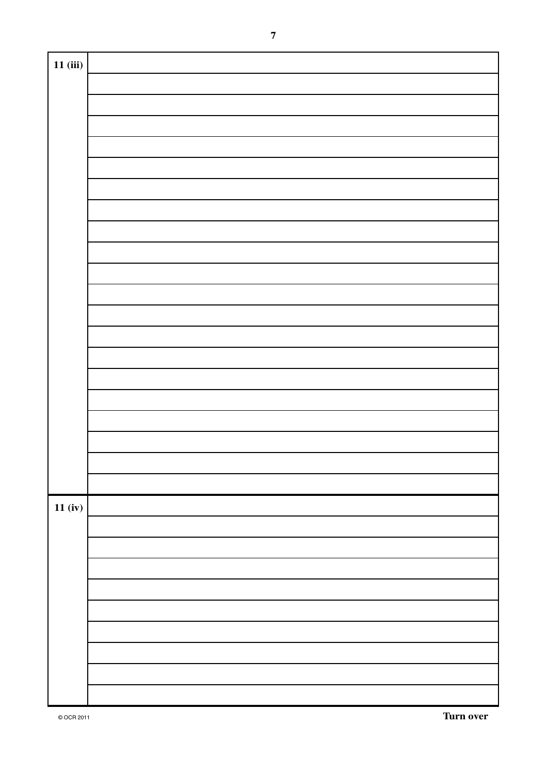| 11(iii) |  |
|---------|--|
|         |  |
|         |  |
|         |  |
|         |  |
|         |  |
|         |  |
|         |  |
|         |  |
|         |  |
|         |  |
|         |  |
|         |  |
|         |  |
|         |  |
|         |  |
|         |  |
|         |  |
|         |  |
|         |  |
|         |  |
|         |  |
|         |  |
|         |  |
|         |  |
|         |  |
|         |  |
|         |  |
|         |  |
|         |  |
|         |  |
|         |  |
|         |  |
|         |  |
|         |  |
|         |  |
| 11(iv)  |  |
|         |  |
|         |  |
|         |  |
|         |  |
|         |  |
|         |  |
|         |  |
|         |  |
|         |  |
|         |  |
|         |  |
|         |  |
|         |  |
|         |  |
|         |  |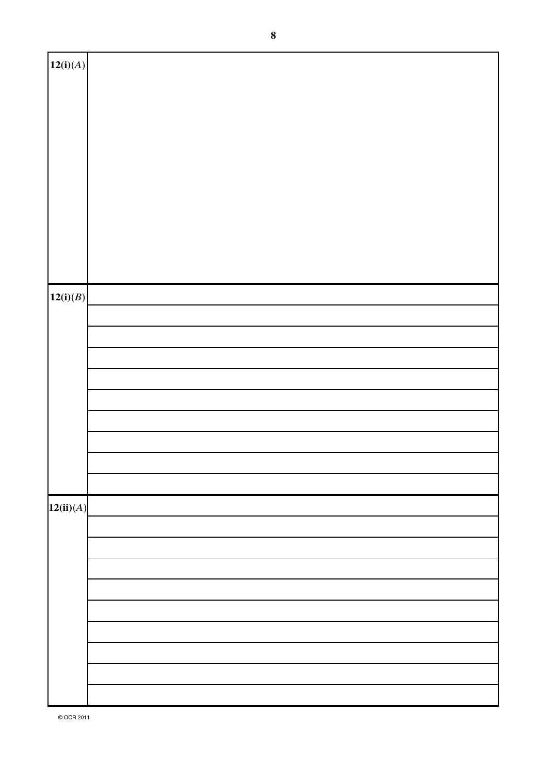| 12(i)(A)  |  |
|-----------|--|
|           |  |
|           |  |
|           |  |
|           |  |
|           |  |
|           |  |
|           |  |
|           |  |
|           |  |
|           |  |
|           |  |
|           |  |
|           |  |
|           |  |
|           |  |
|           |  |
|           |  |
|           |  |
|           |  |
|           |  |
|           |  |
|           |  |
|           |  |
| 12(i)(B)  |  |
|           |  |
|           |  |
|           |  |
|           |  |
|           |  |
|           |  |
|           |  |
|           |  |
|           |  |
|           |  |
|           |  |
|           |  |
|           |  |
|           |  |
|           |  |
|           |  |
|           |  |
|           |  |
|           |  |
|           |  |
| 12(ii)(A) |  |
|           |  |
|           |  |
|           |  |
|           |  |
|           |  |
|           |  |
|           |  |
|           |  |
|           |  |
|           |  |
|           |  |
|           |  |
|           |  |
|           |  |
|           |  |
|           |  |
|           |  |
|           |  |
|           |  |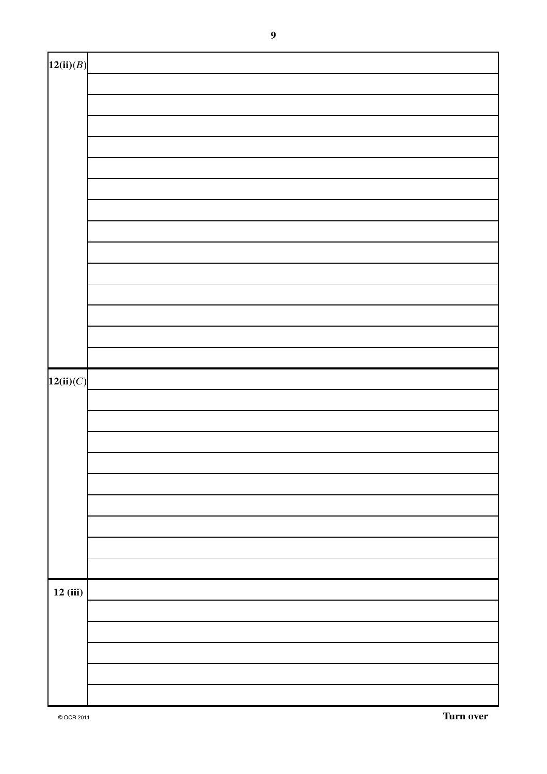| 12(ii)(B) |  |
|-----------|--|
|           |  |
|           |  |
|           |  |
|           |  |
|           |  |
|           |  |
|           |  |
|           |  |
|           |  |
|           |  |
|           |  |
|           |  |
|           |  |
|           |  |
| 12(ii)(C) |  |
|           |  |
|           |  |
|           |  |
|           |  |
|           |  |
|           |  |
|           |  |
|           |  |
|           |  |
| 12(iii)   |  |
|           |  |
|           |  |
|           |  |
|           |  |
|           |  |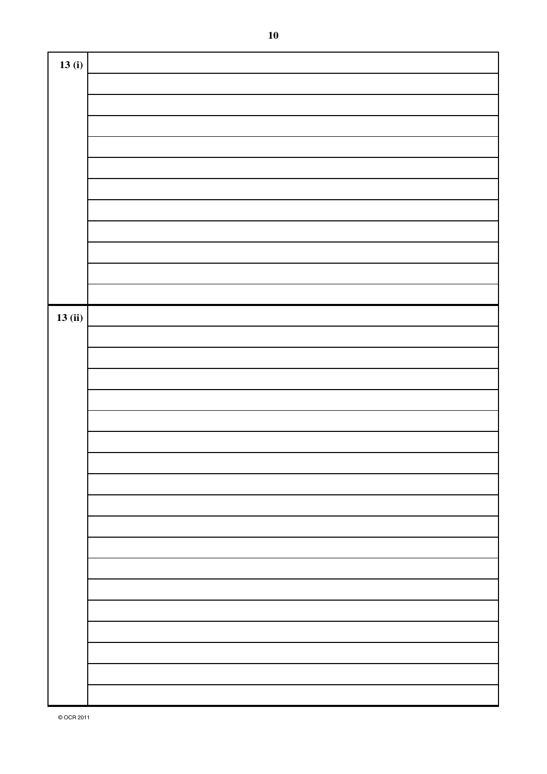| 13(i)  |  |
|--------|--|
|        |  |
|        |  |
|        |  |
|        |  |
|        |  |
|        |  |
|        |  |
|        |  |
|        |  |
|        |  |
|        |  |
|        |  |
|        |  |
| 13(ii) |  |
|        |  |
|        |  |
|        |  |
|        |  |
|        |  |
|        |  |
|        |  |
|        |  |
|        |  |
|        |  |
|        |  |
|        |  |
|        |  |
|        |  |
|        |  |
|        |  |
|        |  |
|        |  |
|        |  |
|        |  |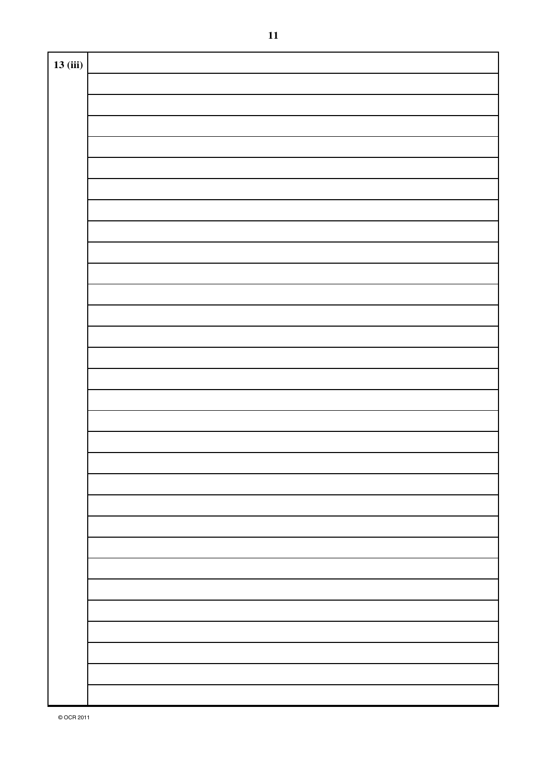| 13(iii) |  |
|---------|--|
|         |  |
|         |  |
|         |  |
|         |  |
|         |  |
|         |  |
|         |  |
|         |  |
|         |  |
|         |  |
|         |  |
|         |  |
|         |  |
|         |  |
|         |  |
|         |  |
|         |  |
|         |  |
|         |  |
|         |  |
|         |  |
|         |  |
|         |  |
|         |  |
|         |  |
|         |  |
|         |  |
|         |  |
|         |  |
|         |  |